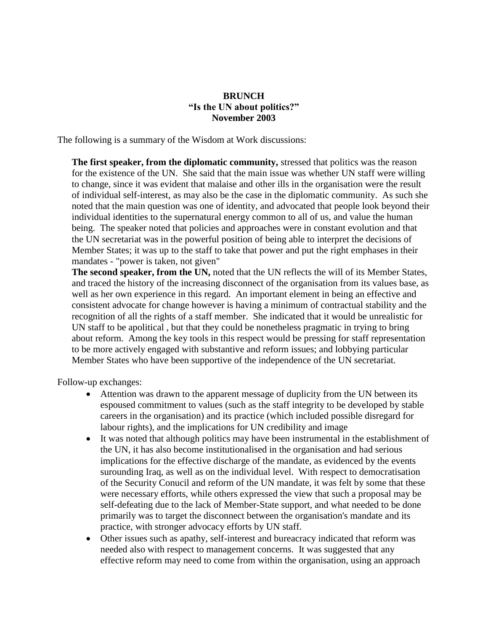## **BRUNCH "Is the UN about politics?" November 2003**

The following is a summary of the Wisdom at Work discussions:

**The first speaker, from the diplomatic community,** stressed that politics was the reason for the existence of the UN. She said that the main issue was whether UN staff were willing to change, since it was evident that malaise and other ills in the organisation were the result of individual self-interest, as may also be the case in the diplomatic community. As such she noted that the main question was one of identity, and advocated that people look beyond their individual identities to the supernatural energy common to all of us, and value the human being. The speaker noted that policies and approaches were in constant evolution and that the UN secretariat was in the powerful position of being able to interpret the decisions of Member States; it was up to the staff to take that power and put the right emphases in their mandates - "power is taken, not given"

**The second speaker, from the UN,** noted that the UN reflects the will of its Member States, and traced the history of the increasing disconnect of the organisation from its values base, as well as her own experience in this regard. An important element in being an effective and consistent advocate for change however is having a minimum of contractual stability and the recognition of all the rights of a staff member. She indicated that it would be unrealistic for UN staff to be apolitical , but that they could be nonetheless pragmatic in trying to bring about reform. Among the key tools in this respect would be pressing for staff representation to be more actively engaged with substantive and reform issues; and lobbying particular Member States who have been supportive of the independence of the UN secretariat.

Follow-up exchanges:

- Attention was drawn to the apparent message of duplicity from the UN between its espoused commitment to values (such as the staff integrity to be developed by stable careers in the organisation) and its practice (which included possible disregard for labour rights), and the implications for UN credibility and image
- It was noted that although politics may have been instrumental in the establishment of the UN, it has also become institutionalised in the organisation and had serious implications for the effective discharge of the mandate, as evidenced by the events surounding Iraq, as well as on the individual level. With respect to democratisation of the Security Conucil and reform of the UN mandate, it was felt by some that these were necessary efforts, while others expressed the view that such a proposal may be self-defeating due to the lack of Member-State support, and what needed to be done primarily was to target the disconnect between the organisation's mandate and its practice, with stronger advocacy efforts by UN staff.
- Other issues such as apathy, self-interest and bureacracy indicated that reform was needed also with respect to management concerns. It was suggested that any effective reform may need to come from within the organisation, using an approach